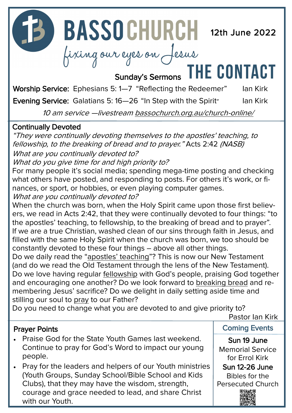**12D BASSOCHURCH** 12th June 2022

# fixing our eyes on Jesus<br>Sunday's Sermons THE CONTACT

Worship Service: Ephesians 5: 1-7 "Reflecting the Redeemer" Ian Kirk

Evening Service: Galatians 5:16-26 "In Step with the Spirit" Ian Kirk

10 am service —livestream [bassochurch.org.au/church](https://www.bassochurch.org.au/church-online/)-online/

#### Continually Devoted

"They were continually devoting themselves to the apostles' teaching, to fellowship, to the breaking of bread and to prayer." Acts 2:42 (NASB) What are you continually devoted to?

What do you give time for and high priority to?

For many people it's social media; spending mega-time posting and checking what others have posted, and responding to posts. For others it's work, or finances, or sport, or hobbies, or even playing computer games. What are you continually devoted to?

When the church was born, when the Holy Spirit came upon those first believers, we read in Acts 2:42, that they were continually devoted to four things: "to the apostles' teaching, to fellowship, to the breaking of bread and to prayer". If we are a true Christian, washed clean of our sins through faith in Jesus, and filled with the same Holy Spirit when the church was born, we too should be constantly devoted to these four things – above all other things.

Do we daily read the "apostles' teaching"? This is now our New Testament (and do we read the Old Testament through the lens of the New Testament). Do we love having regular fellowship with God's people, praising God together and encouraging one another? Do we look forward to breaking bread and remembering Jesus' sacrifice? Do we delight in daily setting aside time and stilling our soul to pray to our Father?

Do you need to change what you are devoted to and give priority to?

Pastor Ian Kirk

#### Prayer Points

- Praise God for the State Youth Games last weekend. Continue to pray for God's Word to impact our young people.
- Pray for the leaders and helpers of our Youth ministries (Youth Groups, Sunday School/Bible School and Kids Clubs), that they may have the wisdom, strength, courage and grace needed to lead, and share Christ with our Youth.

Coming Events Sun 19 June

Memorial Service for Errol Kirk Sun 12-26 June

Bibles for the Persecuted Church

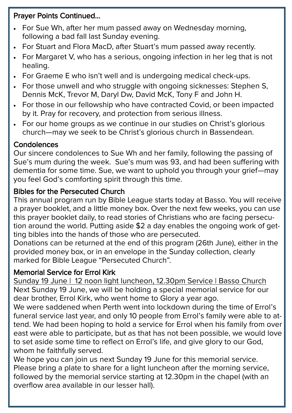#### Prayer Points Continued...

- For Sue Wh, after her mum passed away on Wednesday morning, following a bad fall last Sunday evening.
- For Stuart and Flora MacD, after Stuart's mum passed away recently.
- For Margaret V, who has a serious, ongoing infection in her leg that is not healing.
- For Graeme E who isn't well and is undergoing medical check-ups.
- For those unwell and who struggle with ongoing sicknesses: Stephen S, Dennis McK, Trevor M, Daryl Dw, David McK, Tony F and John H.
- For those in our fellowship who have contracted Covid, or been impacted by it. Pray for recovery, and protection from serious illness.
- For our home groups as we continue in our studies on Christ's glorious church—may we seek to be Christ's glorious church in Bassendean.

#### **Condolences**

Our sincere condolences to Sue Wh and her family, following the passing of Sue's mum during the week. Sue's mum was 93, and had been suffering with dementia for some time. Sue, we want to uphold you through your grief—may you feel God's comforting spirit through this time.

#### Bibles for the Persecuted Church

This annual program run by Bible League starts today at Basso. You will receive a prayer booklet, and a little money box. Over the next few weeks, you can use this prayer booklet daily, to read stories of Christians who are facing persecution around the world. Putting aside \$2 a day enables the ongoing work of getting bibles into the hands of those who are persecuted.

Donations can be returned at the end of this program (26th June), either in the provided money box, or in an envelope in the Sunday collection, clearly marked for Bible League "Persecuted Church".

#### Memorial Service for Errol Kirk

Sunday 19 June | 12 noon light luncheon, 12.30pm Service | Basso Church Next Sunday 19 June, we will be holding a special memorial service for our dear brother, Errol Kirk, who went home to Glory a year ago.

We were saddened when Perth went into lockdown during the time of Errol's funeral service last year, and only 10 people from Errol's family were able to attend. We had been hoping to hold a service for Errol when his family from over east were able to participate, but as that has not been possible, we would love to set aside some time to reflect on Errol's life, and give glory to our God, whom he faithfully served.

We hope you can join us next Sunday 19 June for this memorial service. Please bring a plate to share for a light luncheon after the morning service, followed by the memorial service starting at 12.30pm in the chapel (with an overflow area available in our lesser hall).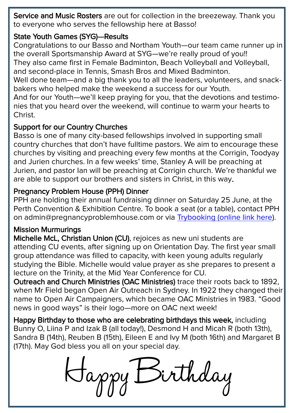Service and Music Rosters are out for collection in the breezeway. Thank you to everyone who serves the fellowship here at Basso!

#### State Youth Games (SYG)—Results

Congratulations to our Basso and Northam Youth—our team came runner up in the overall Sportsmanship Award at SYG—we're really proud of you!! They also came first in Female Badminton, Beach Volleyball and Volleyball, and second-place in Tennis, Smash Bros and Mixed Badminton. Well done team—and a big thank you to all the leaders, volunteers, and snackbakers who helped make the weekend a success for our Youth. And for our Youth—we'll keep praying for you, that the devotions and testimonies that you heard over the weekend, will continue to warm your hearts to Christ.

#### Support for our Country Churches

Basso is one of many city-based fellowships involved in supporting small country churches that don't have fulltime pastors. We aim to encourage these churches by visiting and preaching every few months at the Corrigin, Toodyay and Jurien churches. In a few weeks' time, Stanley A will be preaching at Jurien, and pastor Ian will be preaching at Corrigin church. We're thankful we are able to support our brothers and sisters in Christ, in this way.

#### Pregnancy Problem House (PPH) Dinner

PPH are holding their annual fundraising dinner on Saturday 25 June, at the Perth Convention & Exhibition Centre. To book a seat (or a table), contact PPH on admin@pregnancyproblemhouse.com or via [Trybooking \(online link here\)](https://www.trybooking.com/events/landing?eid=893876&).

#### Mission Murmurings

Michelle McL, Christian Union (CU), rejoices as new uni students are attending CU events, after signing up on Orientation Day. The first year small group attendance was filled to capacity, with keen young adults regularly studying the Bible. Michelle would value prayer as she prepares to present a lecture on the Trinity, at the Mid Year Conference for CU.

Outreach and Church Ministries (OAC Ministries) trace their roots back to 1892, when Mr Field began Open Air Outreach in Sydney. In 1922 they changed their name to Open Air Campaigners, which became OAC Ministries in 1983. "Good news in good ways" is their logo—more on OAC next week!

Happy Birthday to those who are celebrating birthdays this week, including Bunny O, Liina P and Izak B (all today!), Desmond H and Micah R (both 13th), Sandra B (14th), Reuben B (15th), Eileen E and Ivy M (both 16th) and Margaret B (17th). May God bless you all on your special day.

Lappy Birthday